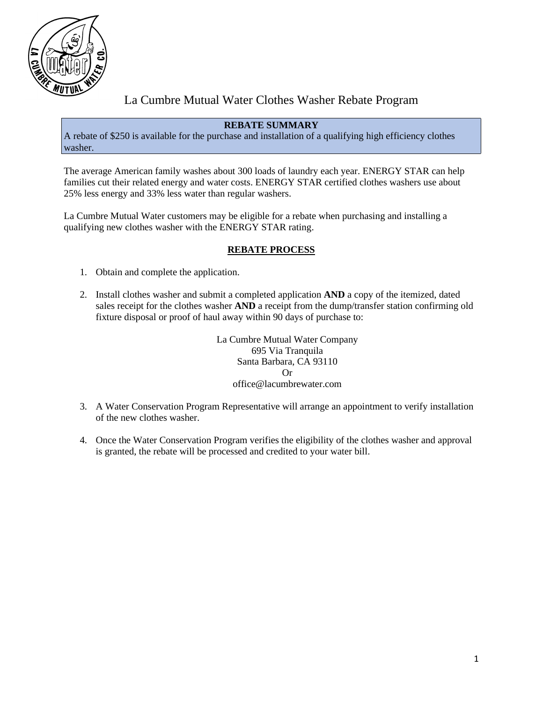

# La Cumbre Mutual Water Clothes Washer Rebate Program

# **REBATE SUMMARY**

A rebate of \$250 is available for the purchase and installation of a qualifying high efficiency clothes washer.

The average American family washes about 300 loads of laundry each year. ENERGY STAR can help families cut their related energy and water costs. ENERGY STAR certified clothes washers use about 25% less energy and 33% less water than regular washers.

La Cumbre Mutual Water customers may be eligible for a rebate when purchasing and installing a qualifying new clothes washer with the ENERGY STAR rating.

# **REBATE PROCESS**

- 1. Obtain and complete the application.
- 2. Install clothes washer and submit a completed application **AND** a copy of the itemized, dated sales receipt for the clothes washer **AND** a receipt from the dump/transfer station confirming old fixture disposal or proof of haul away within 90 days of purchase to:

La Cumbre Mutual Water Company 695 Via Tranquila Santa Barbara, CA 93110 Or office@lacumbrewater.com

- 3. A Water Conservation Program Representative will arrange an appointment to verify installation of the new clothes washer.
- 4. Once the Water Conservation Program verifies the eligibility of the clothes washer and approval is granted, the rebate will be processed and credited to your water bill.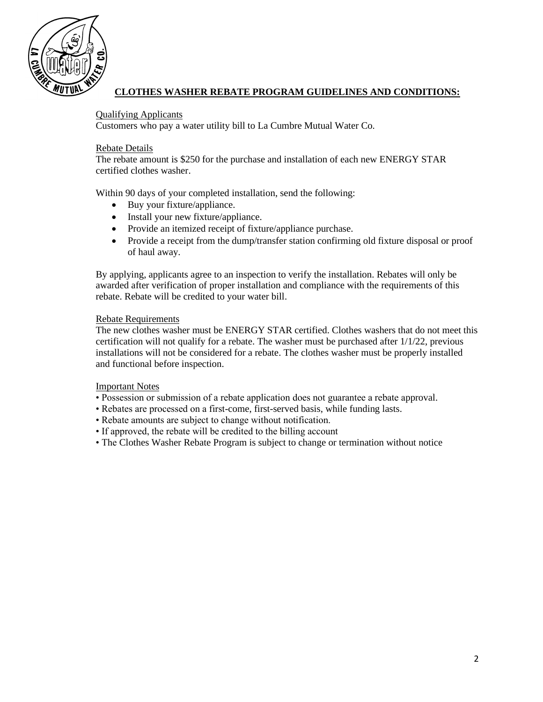

# **CLOTHES WASHER REBATE PROGRAM GUIDELINES AND CONDITIONS:**

#### Qualifying Applicants

Customers who pay a water utility bill to La Cumbre Mutual Water Co.

#### Rebate Details

The rebate amount is \$250 for the purchase and installation of each new ENERGY STAR certified clothes washer.

Within 90 days of your completed installation, send the following:

- Buy your fixture/appliance.
- Install your new fixture/appliance.
- Provide an itemized receipt of fixture/appliance purchase.
- Provide a receipt from the dump/transfer station confirming old fixture disposal or proof of haul away.

By applying, applicants agree to an inspection to verify the installation. Rebates will only be awarded after verification of proper installation and compliance with the requirements of this rebate. Rebate will be credited to your water bill.

#### Rebate Requirements

The new clothes washer must be ENERGY STAR certified. Clothes washers that do not meet this certification will not qualify for a rebate. The washer must be purchased after 1/1/22, previous installations will not be considered for a rebate. The clothes washer must be properly installed and functional before inspection.

#### Important Notes

- Possession or submission of a rebate application does not guarantee a rebate approval.
- Rebates are processed on a first-come, first-served basis, while funding lasts.
- Rebate amounts are subject to change without notification.
- If approved, the rebate will be credited to the billing account
- The Clothes Washer Rebate Program is subject to change or termination without notice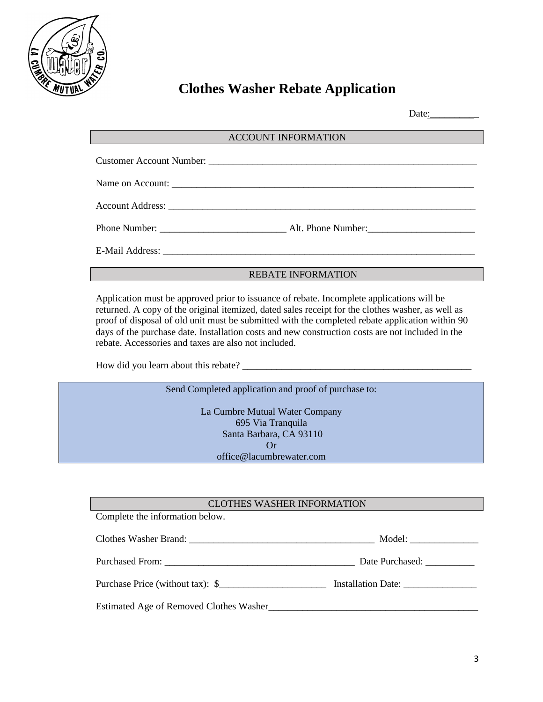

# **Clothes Washer Rebate Application**

Date:

#### ACCOUNT INFORMATION

| Name on Account: |
|------------------|
|                  |
|                  |
|                  |

#### REBATE INFORMATION

Application must be approved prior to issuance of rebate. Incomplete applications will be returned. A copy of the original itemized, dated sales receipt for the clothes washer, as well as proof of disposal of old unit must be submitted with the completed rebate application within 90 days of the purchase date. Installation costs and new construction costs are not included in the rebate. Accessories and taxes are also not included.

How did you learn about this rebate? \_\_\_\_\_\_\_\_\_\_\_\_\_\_\_\_\_\_\_\_\_\_\_\_\_\_\_\_\_\_\_\_\_\_\_\_\_\_\_\_\_\_\_\_\_\_\_

Send Completed application and proof of purchase to:

La Cumbre Mutual Water Company 695 Via Tranquila Santa Barbara, CA 93110 Or office@lacumbrewater.com

#### CLOTHES WASHER INFORMATION

Complete the information below.

| Clothes Washer Brand:                   | Model:          |
|-----------------------------------------|-----------------|
|                                         | Date Purchased: |
| Purchase Price (without tax): \$        |                 |
| Estimated Age of Removed Clothes Washer |                 |